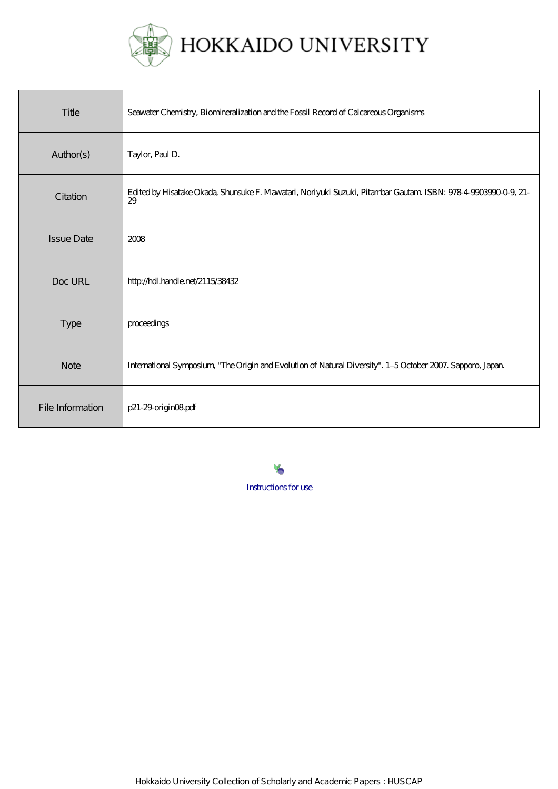

| Title             | Seawater Chemistry, Biomineralization and the Fossil Record of Calcareous Organisms                                 |
|-------------------|---------------------------------------------------------------------------------------------------------------------|
| Author(s)         | Taylor, Paul D.                                                                                                     |
| Citation          | Edited by Hisatake Okada, Shunsuke F. Mawatari, Noriyuki Suzuki, Pitambar Gautam ISBN: 978-4-9903990-0-9, 21-<br>29 |
| <b>Issue Date</b> | 2008                                                                                                                |
| Doc URL           | http://hdl.handle.net/2115/38432                                                                                    |
| Type              | proceedings                                                                                                         |
| <b>Note</b>       | International Symposium, "The Origin and Evolution of Natural Diversity". 1-5 October 2007. Sapporo, Japan          |
| File Information  | p21-29-origin08pdf                                                                                                  |

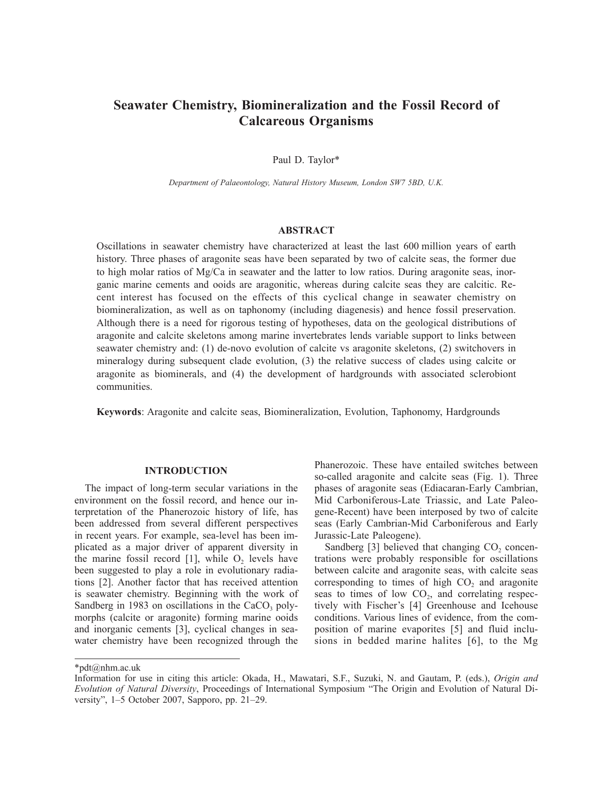# **Seawater Chemistry, Biomineralization and the Fossil Record of Calcareous Organisms**

Paul D. Taylor\*

*Department of Palaeontology, Natural History Museum, London SW7 5BD, U.K.*

# **ABSTRACT**

Oscillations in seawater chemistry have characterized at least the last 600 million years of earth history. Three phases of aragonite seas have been separated by two of calcite seas, the former due to high molar ratios of Mg/Ca in seawater and the latter to low ratios. During aragonite seas, inorganic marine cements and ooids are aragonitic, whereas during calcite seas they are calcitic. Recent interest has focused on the effects of this cyclical change in seawater chemistry on biomineralization, as well as on taphonomy (including diagenesis) and hence fossil preservation. Although there is a need for rigorous testing of hypotheses, data on the geological distributions of aragonite and calcite skeletons among marine invertebrates lends variable support to links between seawater chemistry and: (1) de-novo evolution of calcite vs aragonite skeletons, (2) switchovers in mineralogy during subsequent clade evolution, (3) the relative success of clades using calcite or aragonite as biominerals, and (4) the development of hardgrounds with associated sclerobiont communities.

**Keywords**: Aragonite and calcite seas, Biomineralization, Evolution, Taphonomy, Hardgrounds

## **INTRODUCTION**

The impact of long-term secular variations in the environment on the fossil record, and hence our interpretation of the Phanerozoic history of life, has been addressed from several different perspectives in recent years. For example, sea-level has been implicated as a major driver of apparent diversity in the marine fossil record  $[1]$ , while O<sub>2</sub> levels have been suggested to play a role in evolutionary radiations [2]. Another factor that has received attention is seawater chemistry. Beginning with the work of Sandberg in 1983 on oscillations in the CaCO<sub>2</sub> polymorphs (calcite or aragonite) forming marine ooids and inorganic cements [3], cyclical changes in seawater chemistry have been recognized through the

Phanerozoic. These have entailed switches between so-called aragonite and calcite seas (Fig. 1). Three phases of aragonite seas (Ediacaran-Early Cambrian, Mid Carboniferous-Late Triassic, and Late Paleogene-Recent) have been interposed by two of calcite seas (Early Cambrian-Mid Carboniferous and Early Jurassic-Late Paleogene).

Sandberg  $[3]$  believed that changing  $CO<sub>2</sub>$  concentrations were probably responsible for oscillations between calcite and aragonite seas, with calcite seas corresponding to times of high  $CO<sub>2</sub>$  and aragonite seas to times of low  $CO<sub>2</sub>$ , and correlating respectively with Fischer's [4] Greenhouse and Icehouse conditions. Various lines of evidence, from the composition of marine evaporites [5] and fluid inclusions in bedded marine halites [6], to the Mg

\*pdt@nhm.ac.uk

Information for use in citing this article: Okada, H., Mawatari, S.F., Suzuki, N. and Gautam, P. (eds.), *Origin and Evolution of Natural Diversity*, Proceedings of International Symposium "The Origin and Evolution of Natural Diversity", 1–5 October 2007, Sapporo, pp. 21–29.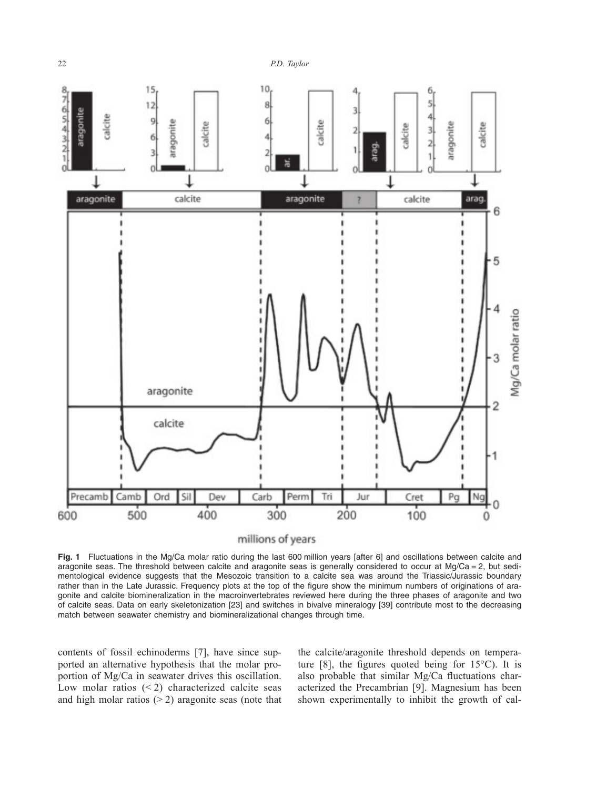

millions of years

**Fig. 1** Fluctuations in the Mg/Ca molar ratio during the last 600 million years [after 6] and oscillations between calcite and aragonite seas. The threshold between calcite and aragonite seas is generally considered to occur at  $Mg/Ca = 2$ , but sedimentological evidence suggests that the Mesozoic transition to a calcite sea was around the Triassic/Jurassic boundary rather than in the Late Jurassic. Frequency plots at the top of the figure show the minimum numbers of originations of aragonite and calcite biomineralization in the macroinvertebrates reviewed here during the three phases of aragonite and two of calcite seas. Data on early skeletonization [23] and switches in bivalve mineralogy [39] contribute most to the decreasing match between seawater chemistry and biomineralizational changes through time.

contents of fossil echinoderms [7], have since supported an alternative hypothesis that the molar proportion of Mg/Ca in seawater drives this oscillation. Low molar ratios  $(< 2)$  characterized calcite seas and high molar ratios  $(2)$  aragonite seas (note that the calcite/aragonite threshold depends on temperature  $[8]$ , the figures quoted being for  $15^{\circ}$ C). It is also probable that similar Mg/Ca fluctuations characterized the Precambrian [9]. Magnesium has been shown experimentally to inhibit the growth of cal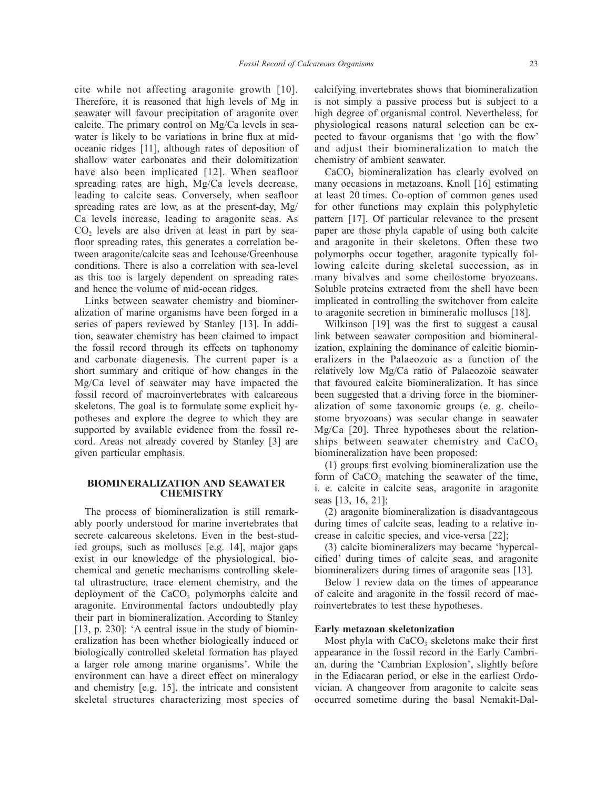cite while not affecting aragonite growth [10]. Therefore, it is reasoned that high levels of Mg in seawater will favour precipitation of aragonite over calcite. The primary control on Mg/Ca levels in seawater is likely to be variations in brine flux at midoceanic ridges [11], although rates of deposition of shallow water carbonates and their dolomitization have also been implicated [12]. When seafloor spreading rates are high, Mg/Ca levels decrease, leading to calcite seas. Conversely, when seafloor spreading rates are low, as at the present-day, Mg/ Ca levels increase, leading to aragonite seas. As  $CO<sub>2</sub>$  levels are also driven at least in part by seafloor spreading rates, this generates a correlation between aragonite/calcite seas and Icehouse/Greenhouse conditions. There is also a correlation with sea-level as this too is largely dependent on spreading rates and hence the volume of mid-ocean ridges.

Links between seawater chemistry and biomineralization of marine organisms have been forged in a series of papers reviewed by Stanley [13]. In addition, seawater chemistry has been claimed to impact the fossil record through its effects on taphonomy and carbonate diagenesis. The current paper is a short summary and critique of how changes in the Mg/Ca level of seawater may have impacted the fossil record of macroinvertebrates with calcareous skeletons. The goal is to formulate some explicit hypotheses and explore the degree to which they are supported by available evidence from the fossil record. Areas not already covered by Stanley [3] are given particular emphasis.

#### **BIOMINERALIZATION AND SEAWATER CHEMISTRY**

The process of biomineralization is still remarkably poorly understood for marine invertebrates that secrete calcareous skeletons. Even in the best-studied groups, such as molluscs [e.g. 14], major gaps exist in our knowledge of the physiological, biochemical and genetic mechanisms controlling skeletal ultrastructure, trace element chemistry, and the deployment of the  $CaCO<sub>3</sub>$  polymorphs calcite and aragonite. Environmental factors undoubtedly play their part in biomineralization. According to Stanley [13, p. 230]: 'A central issue in the study of biomineralization has been whether biologically induced or biologically controlled skeletal formation has played a larger role among marine organisms'. While the environment can have a direct effect on mineralogy and chemistry [e.g. 15], the intricate and consistent skeletal structures characterizing most species of calcifying invertebrates shows that biomineralization is not simply a passive process but is subject to a high degree of organismal control. Nevertheless, for physiological reasons natural selection can be expected to favour organisms that 'go with the flow' and adjust their biomineralization to match the chemistry of ambient seawater.

CaCO<sub>3</sub> biomineralization has clearly evolved on many occasions in metazoans, Knoll [16] estimating at least 20 times. Co-option of common genes used for other functions may explain this polyphyletic pattern [17]. Of particular relevance to the present paper are those phyla capable of using both calcite and aragonite in their skeletons. Often these two polymorphs occur together, aragonite typically following calcite during skeletal succession, as in many bivalves and some cheilostome bryozoans. Soluble proteins extracted from the shell have been implicated in controlling the switchover from calcite to aragonite secretion in bimineralic molluscs [18].

Wilkinson [19] was the first to suggest a causal link between seawater composition and biomineralization, explaining the dominance of calcitic biomineralizers in the Palaeozoic as a function of the relatively low Mg/Ca ratio of Palaeozoic seawater that favoured calcite biomineralization. It has since been suggested that a driving force in the biomineralization of some taxonomic groups (e. g. cheilostome bryozoans) was secular change in seawater Mg/Ca [20]. Three hypotheses about the relationships between seawater chemistry and  $CaCO<sub>3</sub>$ . biomineralization have been proposed:

(1) groups first evolving biomineralization use the form of  $CaCO<sub>3</sub>$  matching the seawater of the time, i. e. calcite in calcite seas, aragonite in aragonite seas [13, 16, 21];

(2) aragonite biomineralization is disadvantageous during times of calcite seas, leading to a relative increase in calcitic species, and vice-versa [22];

(3) calcite biomineralizers may became 'hypercalcified' during times of calcite seas, and aragonite biomineralizers during times of aragonite seas [13].

Below I review data on the times of appearance of calcite and aragonite in the fossil record of macroinvertebrates to test these hypotheses.

### **Early metazoan skeletonization**

Most phyla with  $CaCO<sub>3</sub>$  skeletons make their first appearance in the fossil record in the Early Cambrian, during the 'Cambrian Explosion', slightly before in the Ediacaran period, or else in the earliest Ordovician. A changeover from aragonite to calcite seas occurred sometime during the basal Nemakit-Dal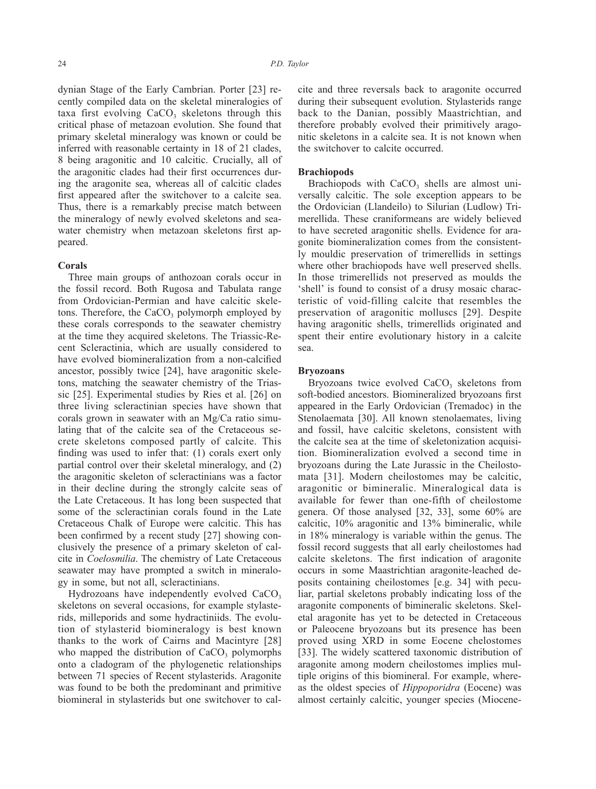dynian Stage of the Early Cambrian. Porter [23] recently compiled data on the skeletal mineralogies of taxa first evolving  $CaCO<sub>3</sub>$  skeletons through this critical phase of metazoan evolution. She found that primary skeletal mineralogy was known or could be inferred with reasonable certainty in 18 of 21 clades, 8 being aragonitic and 10 calcitic. Crucially, all of the aragonitic clades had their first occurrences during the aragonite sea, whereas all of calcitic clades first appeared after the switchover to a calcite sea. Thus, there is a remarkably precise match between the mineralogy of newly evolved skeletons and seawater chemistry when metazoan skeletons first appeared.

#### **Corals**

Three main groups of anthozoan corals occur in the fossil record. Both Rugosa and Tabulata range from Ordovician-Permian and have calcitic skeletons. Therefore, the  $CaCO<sub>3</sub>$  polymorph employed by these corals corresponds to the seawater chemistry at the time they acquired skeletons. The Triassic-Recent Scleractinia, which are usually considered to have evolved biomineralization from a non-calcified ancestor, possibly twice [24], have aragonitic skeletons, matching the seawater chemistry of the Triassic [25]. Experimental studies by Ries et al. [26] on three living scleractinian species have shown that corals grown in seawater with an Mg/Ca ratio simulating that of the calcite sea of the Cretaceous secrete skeletons composed partly of calcite. This finding was used to infer that: (1) corals exert only partial control over their skeletal mineralogy, and (2) the aragonitic skeleton of scleractinians was a factor in their decline during the strongly calcite seas of the Late Cretaceous. It has long been suspected that some of the scleractinian corals found in the Late Cretaceous Chalk of Europe were calcitic. This has been confirmed by a recent study [27] showing conclusively the presence of a primary skeleton of calcite in *Coelosmilia*. The chemistry of Late Cretaceous seawater may have prompted a switch in mineralogy in some, but not all, scleractinians.

Hydrozoans have independently evolved  $CaCO<sub>3</sub>$ skeletons on several occasions, for example stylasterids, milleporids and some hydractiniids. The evolution of stylasterid biomineralogy is best known thanks to the work of Cairns and Macintyre [28] who mapped the distribution of  $CaCO<sub>3</sub>$  polymorphs onto a cladogram of the phylogenetic relationships between 71 species of Recent stylasterids. Aragonite was found to be both the predominant and primitive biomineral in stylasterids but one switchover to calcite and three reversals back to aragonite occurred during their subsequent evolution. Stylasterids range back to the Danian, possibly Maastrichtian, and therefore probably evolved their primitively aragonitic skeletons in a calcite sea. It is not known when the switchover to calcite occurred.

## **Brachiopods**

Brachiopods with  $CaCO<sub>3</sub>$  shells are almost universally calcitic. The sole exception appears to be the Ordovician (Llandeilo) to Silurian (Ludlow) Trimerellida. These craniformeans are widely believed to have secreted aragonitic shells. Evidence for aragonite biomineralization comes from the consistently mouldic preservation of trimerellids in settings where other brachiopods have well preserved shells. In those trimerellids not preserved as moulds the 'shell' is found to consist of a drusy mosaic characteristic of void-filling calcite that resembles the preservation of aragonitic molluscs [29]. Despite having aragonitic shells, trimerellids originated and spent their entire evolutionary history in a calcite sea.

#### **Bryozoans**

Bryozoans twice evolved  $CaCO<sub>3</sub>$  skeletons from soft-bodied ancestors. Biomineralized bryozoans first appeared in the Early Ordovician (Tremadoc) in the Stenolaemata [30]. All known stenolaemates, living and fossil, have calcitic skeletons, consistent with the calcite sea at the time of skeletonization acquisition. Biomineralization evolved a second time in bryozoans during the Late Jurassic in the Cheilostomata [31]. Modern cheilostomes may be calcitic, aragonitic or bimineralic. Mineralogical data is available for fewer than one-fifth of cheilostome genera. Of those analysed [32, 33], some 60% are calcitic, 10% aragonitic and 13% bimineralic, while in 18% mineralogy is variable within the genus. The fossil record suggests that all early cheilostomes had calcite skeletons. The first indication of aragonite occurs in some Maastrichtian aragonite-leached deposits containing cheilostomes [e.g. 34] with peculiar, partial skeletons probably indicating loss of the aragonite components of bimineralic skeletons. Skeletal aragonite has yet to be detected in Cretaceous or Paleocene bryozoans but its presence has been proved using XRD in some Eocene chelostomes [33]. The widely scattered taxonomic distribution of aragonite among modern cheilostomes implies multiple origins of this biomineral. For example, whereas the oldest species of *Hippoporidra* (Eocene) was almost certainly calcitic, younger species (Miocene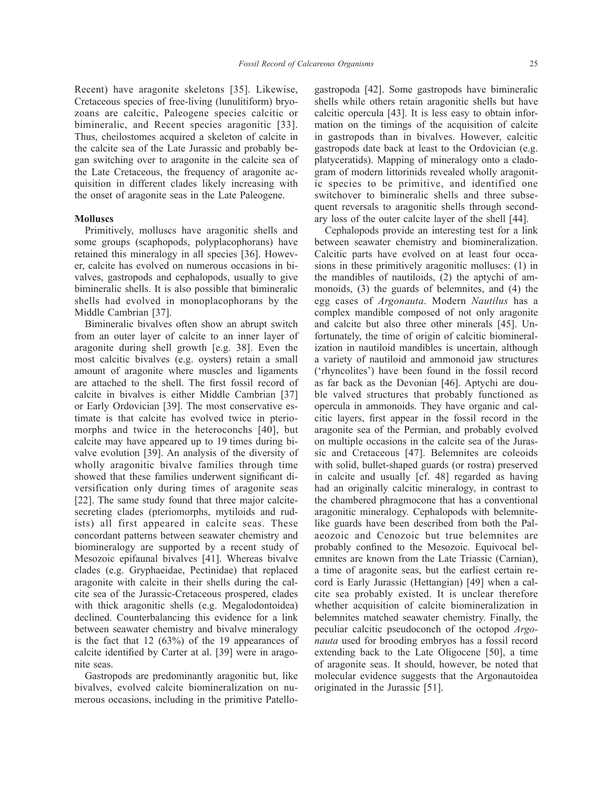Recent) have aragonite skeletons [35]. Likewise, Cretaceous species of free-living (lunulitiform) bryozoans are calcitic, Paleogene species calcitic or bimineralic, and Recent species aragonitic [33]. Thus, cheilostomes acquired a skeleton of calcite in the calcite sea of the Late Jurassic and probably began switching over to aragonite in the calcite sea of the Late Cretaceous, the frequency of aragonite acquisition in different clades likely increasing with the onset of aragonite seas in the Late Paleogene.

#### **Molluscs**

Primitively, molluscs have aragonitic shells and some groups (scaphopods, polyplacophorans) have retained this mineralogy in all species [36]. However, calcite has evolved on numerous occasions in bivalves, gastropods and cephalopods, usually to give bimineralic shells. It is also possible that bimineralic shells had evolved in monoplacophorans by the Middle Cambrian [37].

Bimineralic bivalves often show an abrupt switch from an outer layer of calcite to an inner layer of aragonite during shell growth [e.g. 38]. Even the most calcitic bivalves (e.g. oysters) retain a small amount of aragonite where muscles and ligaments are attached to the shell. The first fossil record of calcite in bivalves is either Middle Cambrian [37] or Early Ordovician [39]. The most conservative estimate is that calcite has evolved twice in pteriomorphs and twice in the heteroconchs [40], but calcite may have appeared up to 19 times during bivalve evolution [39]. An analysis of the diversity of wholly aragonitic bivalve families through time showed that these families underwent significant diversification only during times of aragonite seas [22]. The same study found that three major calcitesecreting clades (pteriomorphs, mytiloids and rudists) all first appeared in calcite seas. These concordant patterns between seawater chemistry and biomineralogy are supported by a recent study of Mesozoic epifaunal bivalves [41]. Whereas bivalve clades (e.g. Gryphaeidae, Pectinidae) that replaced aragonite with calcite in their shells during the calcite sea of the Jurassic-Cretaceous prospered, clades with thick aragonitic shells (e.g. Megalodontoidea) declined. Counterbalancing this evidence for a link between seawater chemistry and bivalve mineralogy is the fact that 12 (63%) of the 19 appearances of calcite identified by Carter at al. [39] were in aragonite seas.

Gastropods are predominantly aragonitic but, like bivalves, evolved calcite biomineralization on numerous occasions, including in the primitive Patellogastropoda [42]. Some gastropods have bimineralic shells while others retain aragonitic shells but have calcitic opercula [43]. It is less easy to obtain information on the timings of the acquisition of calcite in gastropods than in bivalves. However, calcitic gastropods date back at least to the Ordovician (e.g. platyceratids). Mapping of mineralogy onto a cladogram of modern littorinids revealed wholly aragonitic species to be primitive, and identified one switchover to bimineralic shells and three subsequent reversals to aragonitic shells through secondary loss of the outer calcite layer of the shell [44].

Cephalopods provide an interesting test for a link between seawater chemistry and biomineralization. Calcitic parts have evolved on at least four occasions in these primitively aragonitic molluscs: (1) in the mandibles of nautiloids, (2) the aptychi of ammonoids, (3) the guards of belemnites, and (4) the egg cases of *Argonauta*. Modern *Nautilus* has a complex mandible composed of not only aragonite and calcite but also three other minerals [45]. Unfortunately, the time of origin of calcitic biomineralization in nautiloid mandibles is uncertain, although a variety of nautiloid and ammonoid jaw structures ('rhyncolites') have been found in the fossil record as far back as the Devonian [46]. Aptychi are double valved structures that probably functioned as opercula in ammonoids. They have organic and calcitic layers, first appear in the fossil record in the aragonite sea of the Permian, and probably evolved on multiple occasions in the calcite sea of the Jurassic and Cretaceous [47]. Belemnites are coleoids with solid, bullet-shaped guards (or rostra) preserved in calcite and usually [cf. 48] regarded as having had an originally calcitic mineralogy, in contrast to the chambered phragmocone that has a conventional aragonitic mineralogy. Cephalopods with belemnitelike guards have been described from both the Palaeozoic and Cenozoic but true belemnites are probably confined to the Mesozoic. Equivocal belemnites are known from the Late Triassic (Carnian), a time of aragonite seas, but the earliest certain record is Early Jurassic (Hettangian) [49] when a calcite sea probably existed. It is unclear therefore whether acquisition of calcite biomineralization in belemnites matched seawater chemistry. Finally, the peculiar calcitic pseudoconch of the octopod *Argonauta* used for brooding embryos has a fossil record extending back to the Late Oligocene [50], a time of aragonite seas. It should, however, be noted that molecular evidence suggests that the Argonautoidea originated in the Jurassic [51].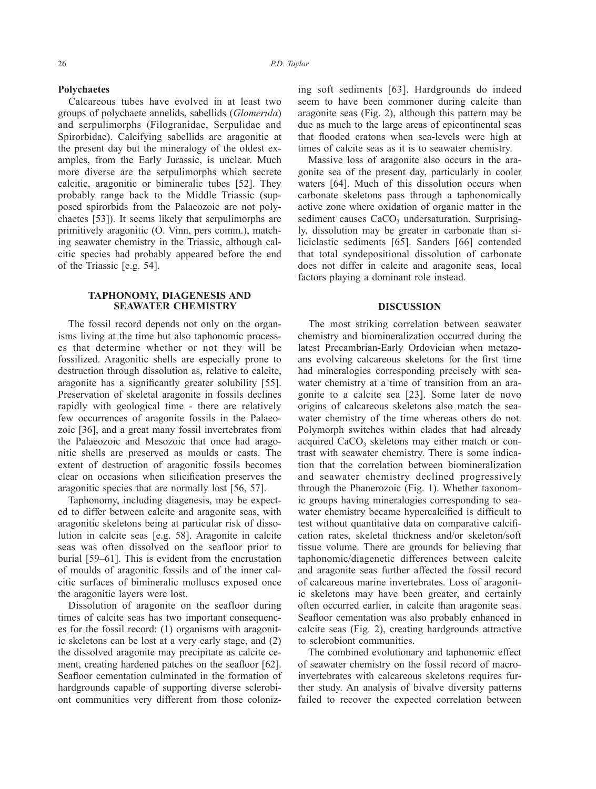#### **Polychaetes**

Calcareous tubes have evolved in at least two groups of polychaete annelids, sabellids (*Glomerula*) and serpulimorphs (Filogranidae, Serpulidae and Spirorbidae). Calcifying sabellids are aragonitic at the present day but the mineralogy of the oldest examples, from the Early Jurassic, is unclear. Much more diverse are the serpulimorphs which secrete calcitic, aragonitic or bimineralic tubes [52]. They probably range back to the Middle Triassic (supposed spirorbids from the Palaeozoic are not polychaetes [53]). It seems likely that serpulimorphs are primitively aragonitic (O. Vinn, pers comm.), matching seawater chemistry in the Triassic, although calcitic species had probably appeared before the end of the Triassic [e.g. 54].

### **TAPHONOMY, DIAGENESIS AND SEAWATER CHEMISTRY**

The fossil record depends not only on the organisms living at the time but also taphonomic processes that determine whether or not they will be fossilized. Aragonitic shells are especially prone to destruction through dissolution as, relative to calcite, aragonite has a significantly greater solubility [55]. Preservation of skeletal aragonite in fossils declines rapidly with geological time - there are relatively few occurrences of aragonite fossils in the Palaeozoic [36], and a great many fossil invertebrates from the Palaeozoic and Mesozoic that once had aragonitic shells are preserved as moulds or casts. The extent of destruction of aragonitic fossils becomes clear on occasions when silicification preserves the aragonitic species that are normally lost [56, 57].

Taphonomy, including diagenesis, may be expected to differ between calcite and aragonite seas, with aragonitic skeletons being at particular risk of dissolution in calcite seas [e.g. 58]. Aragonite in calcite seas was often dissolved on the seafloor prior to burial [59–61]. This is evident from the encrustation of moulds of aragonitic fossils and of the inner calcitic surfaces of bimineralic molluscs exposed once the aragonitic layers were lost.

Dissolution of aragonite on the seafloor during times of calcite seas has two important consequences for the fossil record: (1) organisms with aragonitic skeletons can be lost at a very early stage, and (2) the dissolved aragonite may precipitate as calcite cement, creating hardened patches on the seafloor [62]. Seafloor cementation culminated in the formation of hardgrounds capable of supporting diverse sclerobiont communities very different from those colonizing soft sediments [63]. Hardgrounds do indeed seem to have been commoner during calcite than aragonite seas (Fig. 2), although this pattern may be due as much to the large areas of epicontinental seas that flooded cratons when sea-levels were high at times of calcite seas as it is to seawater chemistry.

Massive loss of aragonite also occurs in the aragonite sea of the present day, particularly in cooler waters [64]. Much of this dissolution occurs when carbonate skeletons pass through a taphonomically active zone where oxidation of organic matter in the sediment causes  $CaCO<sub>3</sub>$  undersaturation. Surprisingly, dissolution may be greater in carbonate than siliciclastic sediments [65]. Sanders [66] contended that total syndepositional dissolution of carbonate does not differ in calcite and aragonite seas, local factors playing a dominant role instead.

### **DISCUSSION**

The most striking correlation between seawater chemistry and biomineralization occurred during the latest Precambrian-Early Ordovician when metazoans evolving calcareous skeletons for the first time had mineralogies corresponding precisely with seawater chemistry at a time of transition from an aragonite to a calcite sea [23]. Some later de novo origins of calcareous skeletons also match the seawater chemistry of the time whereas others do not. Polymorph switches within clades that had already acquired  $CaCO<sub>3</sub>$  skeletons may either match or contrast with seawater chemistry. There is some indication that the correlation between biomineralization and seawater chemistry declined progressively through the Phanerozoic (Fig. 1). Whether taxonomic groups having mineralogies corresponding to seawater chemistry became hypercalcified is difficult to test without quantitative data on comparative calcification rates, skeletal thickness and/or skeleton/soft tissue volume. There are grounds for believing that taphonomic/diagenetic differences between calcite and aragonite seas further affected the fossil record of calcareous marine invertebrates. Loss of aragonitic skeletons may have been greater, and certainly often occurred earlier, in calcite than aragonite seas. Seafloor cementation was also probably enhanced in calcite seas (Fig. 2), creating hardgrounds attractive to sclerobiont communities.

The combined evolutionary and taphonomic effect of seawater chemistry on the fossil record of macroinvertebrates with calcareous skeletons requires further study. An analysis of bivalve diversity patterns failed to recover the expected correlation between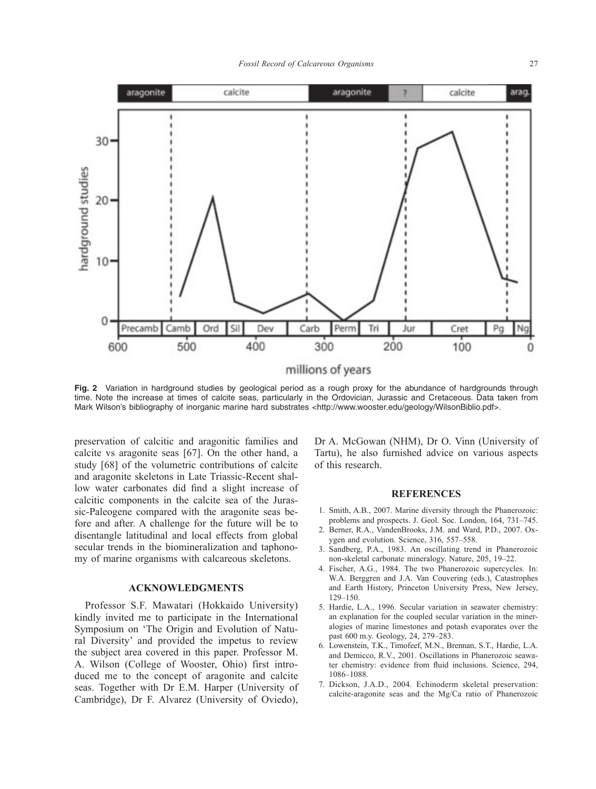

**Fig. 2** Variation in hardground studies by geological period as a rough proxy for the abundance of hardgrounds through time. Note the increase at times of calcite seas, particularly in the Ordovician, Jurassic and Cretaceous. Data taken from Mark Wilson's bibliography of inorganic marine hard substrates <http://www.wooster.edu/geology/WilsonBiblio.pdf>.

preservation of calcitic and aragonitic families and calcite vs aragonite seas [67]. On the other hand, a study [68] of the volumetric contributions of calcite and aragonite skeletons in Late Triassic-Recent shallow water carbonates did find a slight increase of calcitic components in the calcite sea of the Jurassic-Paleogene compared with the aragonite seas before and after. A challenge for the future will be to disentangle latitudinal and local effects from global secular trends in the biomineralization and taphonomy of marine organisms with calcareous skeletons.

### **ACKNOWLEDGMENTS**

Professor S.F. Mawatari (Hokkaido University) kindly invited me to participate in the International Symposium on 'The Origin and Evolution of Natural Diversity' and provided the impetus to review the subject area covered in this paper. Professor M. A. Wilson (College of Wooster, Ohio) first introduced me to the concept of aragonite and calcite seas. Together with Dr E.M. Harper (University of Cambridge), Dr F. Alvarez (University of Oviedo),

Dr A. McGowan (NHM), Dr O. Vinn (University of Tartu), he also furnished advice on various aspects of this research.

#### **REFERENCES**

- 1. Smith, A.B., 2007. Marine diversity through the Phanerozoic: problems and prospects. J. Geol. Soc. London, 164, 731–745.
- 2. Berner, R.A., VandenBrooks, J.M. and Ward, P.D., 2007. Oxygen and evolution. Science, 316, 557–558.
- 3. Sandberg, P.A., 1983. An oscillating trend in Phanerozoic non-skeletal carbonate mineralogy. Nature, 205, 19–22.
- 4. Fischer, A.G., 1984. The two Phanerozoic supercycles. In: W.A. Berggren and J.A. Van Couvering (eds.), Catastrophes and Earth History, Princeton University Press, New Jersey, 129–150.
- 5. Hardie, L.A., 1996. Secular variation in seawater chemistry: an explanation for the coupled secular variation in the mineralogies of marine limestones and potash evaporates over the past 600 m.y. Geology, 24, 279–283.
- 6. Lowenstein, T.K., Timofeef, M.N., Brennan, S.T., Hardie, L.A. and Demicco, R.V., 2001. Oscillations in Phanerozoic seawater chemistry: evidence from fluid inclusions. Science, 294, 1086–1088.
- 7. Dickson, J.A.D., 2004. Echinoderm skeletal preservation: calcite-aragonite seas and the Mg/Ca ratio of Phanerozoic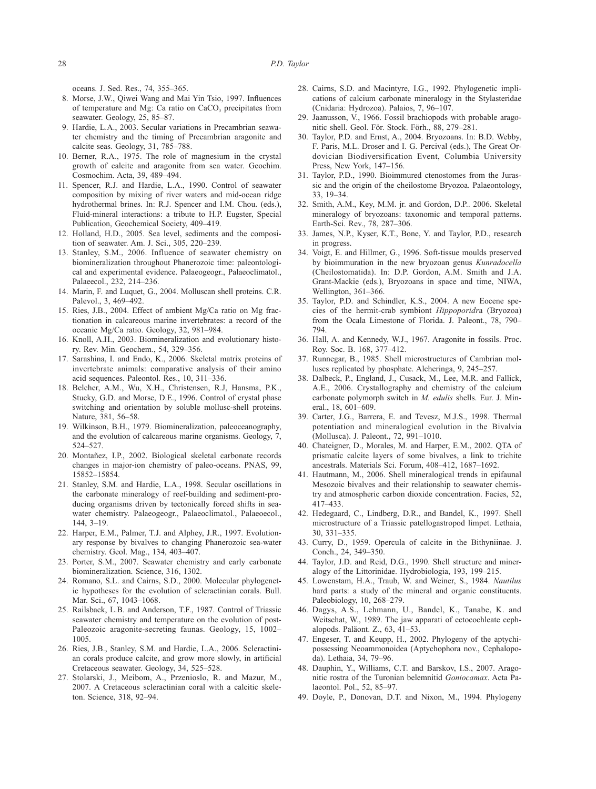oceans. J. Sed. Res., 74, 355–365.

- 8. Morse, J.W., Qiwei Wang and Mai Yin Tsio, 1997. Influences of temperature and Mg: Ca ratio on CaCO<sub>3</sub> precipitates from seawater. Geology, 25, 85–87.
- 9. Hardie, L.A., 2003. Secular variations in Precambrian seawater chemistry and the timing of Precambrian aragonite and calcite seas. Geology, 31, 785–788.
- 10. Berner, R.A., 1975. The role of magnesium in the crystal growth of calcite and aragonite from sea water. Geochim. Cosmochim. Acta, 39, 489–494.
- 11. Spencer, R.J. and Hardie, L.A., 1990. Control of seawater composition by mixing of river waters and mid-ocean ridge hydrothermal brines. In: R.J. Spencer and I.M. Chou. (eds.), Fluid-mineral interactions: a tribute to H.P. Eugster, Special Publication, Geochemical Society, 409–419.
- 12. Holland, H.D., 2005. Sea level, sediments and the composition of seawater. Am. J. Sci., 305, 220–239.
- 13. Stanley, S.M., 2006. Influence of seawater chemistry on biomineralization throughout Phanerozoic time: paleontological and experimental evidence. Palaeogeogr., Palaeoclimatol., Palaeecol., 232, 214–236.
- 14. Marin, F. and Luquet, G., 2004. Molluscan shell proteins. C.R. Palevol., 3, 469–492.
- 15. Ries, J.B., 2004. Effect of ambient Mg/Ca ratio on Mg fractionation in calcareous marine invertebrates: a record of the oceanic Mg/Ca ratio. Geology, 32, 981–984.
- 16. Knoll, A.H., 2003. Biomineralization and evolutionary history. Rev. Min. Geochem., 54, 329–356.
- 17. Sarashina, I. and Endo, K., 2006. Skeletal matrix proteins of invertebrate animals: comparative analysis of their amino acid sequences. Paleontol. Res., 10, 311–336.
- 18. Belcher, A.M., Wu, X.H., Christensen, R.J, Hansma, P.K., Stucky, G.D. and Morse, D.E., 1996. Control of crystal phase switching and orientation by soluble mollusc-shell proteins. Nature, 381, 56–58.
- 19. Wilkinson, B.H., 1979. Biomineralization, paleoceanography, and the evolution of calcareous marine organisms. Geology, 7, 524–527.
- 20. Montañez, I.P., 2002. Biological skeletal carbonate records changes in major-ion chemistry of paleo-oceans. PNAS, 99, 15852–15854.
- 21. Stanley, S.M. and Hardie, L.A., 1998. Secular oscillations in the carbonate mineralogy of reef-building and sediment-producing organisms driven by tectonically forced shifts in seawater chemistry. Palaeogeogr., Palaeoclimatol., Palaeoecol., 144, 3–19.
- 22. Harper, E.M., Palmer, T.J. and Alphey, J.R., 1997. Evolutionary response by bivalves to changing Phanerozoic sea-water chemistry. Geol. Mag., 134, 403–407.
- 23. Porter, S.M., 2007. Seawater chemistry and early carbonate biomineralization. Science, 316, 1302.
- 24. Romano, S.L. and Cairns, S.D., 2000. Molecular phylogenetic hypotheses for the evolution of scleractinian corals. Bull. Mar. Sci., 67, 1043-1068.
- 25. Railsback, L.B. and Anderson, T.F., 1987. Control of Triassic seawater chemistry and temperature on the evolution of post-Paleozoic aragonite-secreting faunas. Geology, 15, 1002– 1005.
- 26. Ries, J.B., Stanley, S.M. and Hardie, L.A., 2006. Scleractinian corals produce calcite, and grow more slowly, in artificial Cretaceous seawater. Geology, 34, 525–528.
- 27. Stolarski, J., Meibom, A., Przenioslo, R. and Mazur, M., 2007. A Cretaceous scleractinian coral with a calcitic skeleton. Science, 318, 92–94.
- 28. Cairns, S.D. and Macintyre, I.G., 1992. Phylogenetic implications of calcium carbonate mineralogy in the Stylasteridae (Cnidaria: Hydrozoa). Palaios, 7, 96–107.
- 29. Jaanusson, V., 1966. Fossil brachiopods with probable aragonitic shell. Geol. För. Stock. Förh., 88, 279–281.
- 30. Taylor, P.D. and Ernst, A., 2004. Bryozoans. In: B.D. Webby, F. Paris, M.L. Droser and I. G. Percival (eds.), The Great Ordovician Biodiversification Event, Columbia University Press, New York, 147–156.
- 31. Taylor, P.D., 1990. Bioimmured ctenostomes from the Jurassic and the origin of the cheilostome Bryozoa. Palaeontology, 33, 19–34.
- 32. Smith, A.M., Key, M.M. jr. and Gordon, D.P.. 2006. Skeletal mineralogy of bryozoans: taxonomic and temporal patterns. Earth-Sci. Rev., 78, 287–306.
- 33. James, N.P., Kyser, K.T., Bone, Y. and Taylor, P.D., research in progress.
- 34. Voigt, E. and Hillmer, G., 1996. Soft-tissue moulds preserved by bioimmuration in the new bryozoan genus *Kunradocella* (Cheilostomatida). In: D.P. Gordon, A.M. Smith and J.A. Grant-Mackie (eds.), Bryozoans in space and time, NIWA, Wellington, 361–366.
- 35. Taylor, P.D. and Schindler, K.S., 2004. A new Eocene species of the hermit-crab symbiont *Hippoporidr*a (Bryozoa) from the Ocala Limestone of Florida. J. Paleont., 78, 790– 794.
- 36. Hall, A. and Kennedy, W.J., 1967. Aragonite in fossils. Proc. Roy. Soc. B. 168, 377–412.
- 37. Runnegar, B., 1985. Shell microstructures of Cambrian molluscs replicated by phosphate. Alcheringa, 9, 245–257.
- 38. Dalbeck, P., England, J., Cusack, M., Lee, M.R. and Fallick, A.E., 2006. Crystallography and chemistry of the calcium carbonate polymorph switch in *M. edulis* shells. Eur. J. Mineral., 18, 601–609.
- 39. Carter, J.G., Barrera, E. and Tevesz, M.J.S., 1998. Thermal potentiation and mineralogical evolution in the Bivalvia (Mollusca). J. Paleont., 72, 991–1010.
- 40. Chateigner, D., Morales, M. and Harper, E.M., 2002. QTA of prismatic calcite layers of some bivalves, a link to trichite ancestrals. Materials Sci. Forum, 408–412, 1687–1692.
- 41. Hautmann, M., 2006. Shell mineralogical trends in epifaunal Mesozoic bivalves and their relationship to seawater chemistry and atmospheric carbon dioxide concentration. Facies, 52, 417–433.
- 42. Hedegaard, C., Lindberg, D.R., and Bandel, K., 1997. Shell microstructure of a Triassic patellogastropod limpet. Lethaia, 30, 331–335.
- 43. Curry, D., 1959. Opercula of calcite in the Bithyniinae. J. Conch., 24, 349–350.
- 44. Taylor, J.D. and Reid, D.G., 1990. Shell structure and mineralogy of the Littorinidae. Hydrobiologia, 193, 199–215.
- 45. Lowenstam, H.A., Traub, W. and Weiner, S., 1984. *Nautilus* hard parts: a study of the mineral and organic constituents. Paleobiology, 10, 268–279.
- 46. Dagys, A.S., Lehmann, U., Bandel, K., Tanabe, K. and Weitschat, W., 1989. The jaw apparati of ectocochleate cephalopods. Paläont. Z., 63, 41–53.
- 47. Engeser, T. and Keupp, H., 2002. Phylogeny of the aptychipossessing Neoammonoidea (Aptychophora nov., Cephalopoda). Lethaia, 34, 79–96.
- 48. Dauphin, Y., Williams, C.T. and Barskov, I.S., 2007. Aragonitic rostra of the Turonian belemnitid *Goniocamax*. Acta Palaeontol. Pol., 52, 85–97.
- 49. Doyle, P., Donovan, D.T. and Nixon, M., 1994. Phylogeny